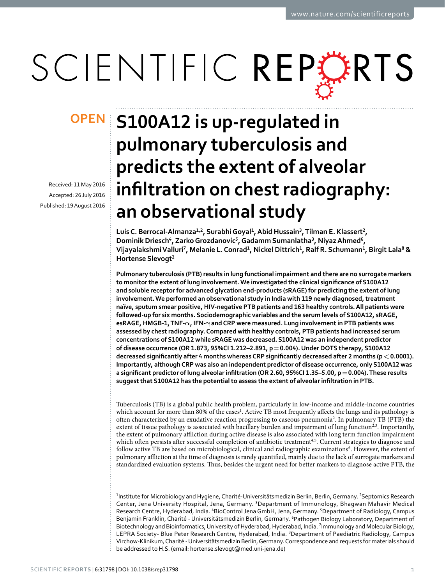# SCIENTIFIC REPERTS

Received: 11 May 2016 accepted: 26 July 2016 Published: 19 August 2016

## **S100A12 is up-regulated in OPENpulmonary tuberculosis and predicts the extent of alveolar infiltration on chest radiography: an observational study**

**LuisC. Berrocal-Almanza1,2, SurabhiGoyal1, Abid Hussain3, Tilman E. Klassert2, Dominik Driesch<sup>4</sup>, Zarko Grozdanovic<sup>5</sup>, Gadamm Sumanlatha<sup>3</sup>, Niyaz Ahmed<sup>6</sup>, VijayalakshmiValluri7, Melanie L. Conrad1, Nickel Dittrich1, Ralf R. Schumann1, Birgit Lala8 & Hortense Slevogt2**

**Pulmonary tuberculosis (PTB) results in lung functional impairment and there are no surrogate markers to monitor the extent of lung involvement. We investigated the clinical significance of S100A12 and soluble receptor for advanced glycation end-products (sRAGE) for predicting the extent of lung involvement. We performed an observational study in India with 119 newly diagnosed, treatment naïve, sputum smear positive, HIV-negative PTB patients and 163 healthy controls. All patients were followed-up for six months. Sociodemographic variables and the serum levels of S100A12, sRAGE, esRAGE, HMGB-1, TNF-α, IFN-γ and CRP were measured. Lung involvement in PTB patients was assessed by chest radiography. Compared with healthy controls, PTB patients had increased serum concentrations of S100A12 while sRAGE was decreased. S100A12 was an independent predictor of disease occurrence (OR 1.873, 95%CI 1.212–2.891, p=0.004). Under DOTS therapy, S100A12 decreased significantly after 4 months whereas CRP significantly decreased after 2 months (p<0.0001). Importantly, although CRP was also an independent predictor of disease occurrence, only S100A12 was a significant predictor of lung alveolar infiltration (OR 2.60, 95%CI 1.35–5.00, p=0.004). These results suggest that S100A12 has the potential to assess the extent of alveolar infiltration in PTB.**

Tuberculosis (TB) is a global public health problem, particularly in low-income and middle-income countries which account for more than 80% of the cases<sup>[1](#page-7-0)</sup>. Active TB most frequently affects the lungs and its pathology is often characterized by an exudative reaction progressing to caseous pneumonia<sup>2</sup>. In pulmonary TB (PTB) the extent of tissue pathology is associated with bacillary burden and impairment of lung function<sup>[2](#page-7-1)[,3](#page-7-2)</sup>. Importantly, the extent of pulmonary affliction during active disease is also associated with long term function impairment which often persists after successful completion of antibiotic treatment<sup>4,5</sup>. Current strategies to diagnose and follow active TB are based on microbiological, clinical and radiographic examinations<sup>6</sup>. However, the extent of pulmonary affliction at the time of diagnosis is rarely quantified, mainly due to the lack of surrogate markers and standardized evaluation systems. Thus, besides the urgent need for better markers to diagnose active PTB, the

<sup>1</sup>Institute for Microbiology and Hygiene, Charité-Universitätsmedizin Berlin, Berlin, Germany. <sup>2</sup>Septomics Research Center, Jena University Hospital, Jena, Germany. <sup>3</sup>Department of Immunology, Bhagwan Mahavir Medical Research Centre, Hyderabad, India. <sup>4</sup>BioControl Jena GmbH, Jena, Germany. <sup>5</sup>Department of Radiology, Campus Benjamin Franklin, Charité - Universitätsmedizin Berlin, Germany. <sup>6</sup>Pathogen Biology Laboratory, Department of Biotechnology and Bioinformatics, University of Hyderabad, Hyderabad, India. <sup>7</sup> Immunology and Molecular Biology, LEPRA Society- Blue Peter Research Centre, Hyderabad, India. <sup>8</sup>Department of Paediatric Radiology, Campus Virchow-Klinikum, Charité - Universitätsmedizin Berlin, Germany. Correspondence and requests for materials should be addressed to H.S. (email: [hortense.slevogt@med.uni-jena.de\)](mailto:hortense.slevogt@med.uni-jena.de)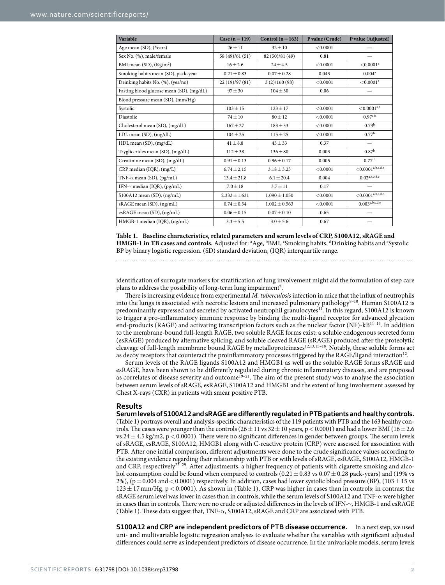<span id="page-1-0"></span>

| Variable                                 | Case $(n=119)$    | Control ( $n = 163$ ) | P value (Crude) | P value (Adjusted)                                                |
|------------------------------------------|-------------------|-----------------------|-----------------|-------------------------------------------------------------------|
| Age mean (SD), (Years)                   | $26 \pm 11$       | $32 \pm 10$           | < 0.0001        |                                                                   |
| Sex No. (%), male/female                 | 58 (49)/61 (51)   | 82 (50)/81 (49)       | 0.81            |                                                                   |
| BMI mean $(SD)$ , $(Kg/m2)$              | $16 \pm 2.6$      | $24 \pm 4.5$          | < 0.0001        | $< 0.0001^a$                                                      |
| Smoking habits mean (SD), pack-year      | $0.21 \pm 0.83$   | $0.07 \pm 0.28$       | 0.043           | 0.004 <sup>a</sup>                                                |
| Drinking habits No. (%), (yes/no)        | 22(19)/97(81)     | 3(2)/160(98)          | < 0.0001        | ${<}0.0001$ <sup>a</sup>                                          |
| Fasting blood glucose mean (SD), (mg/dL) | $97 \pm 30$       | $104 \pm 30$          | 0.06            | -                                                                 |
| Blood pressure mean (SD), (mm/Hg)        |                   |                       |                 |                                                                   |
| Systolic                                 | $103 \pm 15$      | $123 \pm 17$          | < 0.0001        | ${<}0.0001^{a,b}$                                                 |
| <b>Diastolic</b>                         | $74 \pm 10$       | $80 \pm 12$           | < 0.0001        | $0.97^{a,b}$                                                      |
| Cholesterol mean (SD), (mg/dL)           | $167 + 27$        | $183 \pm 33$          | < 0.0001        | $0.73^{\rm b}$                                                    |
| LDL mean (SD), (mg/dL)                   | $104 \pm 25$      | $115 \pm 25$          | < 0.0001        | 0.77 <sup>b</sup>                                                 |
| HDL mean (SD), (mg/dL)                   | $41 \pm 8.8$      | $43 \pm 33$           | 0.37            |                                                                   |
| Tryglicerides mean (SD), (mg/dL)         | $112 \pm 38$      | $136 \pm 80$          | 0.003           | 0.87 <sup>b</sup>                                                 |
| Creatinine mean (SD), (mg/dL)            | $0.91 \pm 0.13$   | $0.96 \pm 0.17$       | 0.005           | 0.77 <sup>b</sup>                                                 |
| CRP median (IQR), (mg/L)                 | $6.74 \pm 2.15$   | $3.18 \pm 3.23$       | < 0.0001        | $<\hspace{-0.1cm}0.0001^{\scriptscriptstyle{\mathrm{a,b,c,d,e}}}$ |
| TNF- $\alpha$ mean (SD), (pg/mL)         | $13.4 \pm 21.8$   | $6.1 \pm 20.4$        | 0.004           | $0.02^{a,b,c,d,e}$                                                |
| IFN- $\gamma$ median (IQR), (pg/mL)      | $7.0 \pm 18$      | $3.7 \pm 11$          | 0.17            |                                                                   |
| $$100A12$ mean (SD), (ng/mL)             | $2.332 \pm 1.631$ | $1.090 \pm 1.050$     | < 0.0001        | ${<}0.0001^{\text{a,b,c,d,e}}$                                    |
| sRAGE mean (SD), (ng/mL)                 | $0.74 \pm 0.54$   | $1.002 \pm 0.563$     | < 0.0001        | $0.003^{a,b,c,d,e}$                                               |
| esRAGE mean (SD), (ng/mL)                | $0.06 \pm 0.15$   | $0.07 \pm 0.10$       | 0.65            |                                                                   |
| HMGB-1 median (IQR), (ng/mL)             | $3.3 \pm 5.5$     | $3.0 \pm 5.6$         | 0.67            |                                                                   |

**Table 1. Baseline characteristics, related parameters and serum levels of CRP, S100A12, sRAGE and HMGB-1 in TB cases and controls.** Adjusted for: <sup>a</sup>Age, <sup>b</sup>BMI, <sup>c</sup>Smoking habits, <sup>d</sup>Drinking habits and <sup>e</sup>Systolic BP by binary logistic regression. (SD) standard deviation, (IQR) interquartile range.

identification of surrogate markers for stratification of lung involvement might aid the formulation of step care plans to address the possibility of long-term lung impairment<sup>[7](#page-7-6)</sup>.

There is increasing evidence from experimental *M. tuberculosis* infection in mice that the influx of neutrophils into the lungs is associated with necrotic lesions and increased pulmonary pathology<sup>8-10</sup>. Human S100A12 is predominantly expressed and secreted by activated neutrophil granulocytes<sup>11</sup>. In this regard, S100A12 is known to trigger a pro-inflammatory immune response by binding the multi-ligand receptor for advanced glycation end-products (RAGE) and activating transcription factors such as the nuclear factor (NF)-kB[11–14.](#page-7-8) In addition to the membrane-bound full-length RAGE, two soluble RAGE forms exist; a soluble endogenous secreted form (esRAGE) produced by alternative splicing, and soluble cleaved RAGE (sRAGE) produced after the proteolytic cleavage of full-length membrane bound RAGE by metalloproteinases<sup>[12,](#page-7-9)[13,](#page-7-10)15-18</sup>. Notably, these soluble forms act as decoy receptors that counteract the proinflammatory processes triggered by the RAGE/ligand interaction<sup>12</sup>.

Serum levels of the RAGE ligands S100A12 and HMGB1 as well as the soluble RAGE forms sRAGE and esRAGE, have been shown to be differently regulated during chronic inflammatory diseases, and are proposed as correlates of disease severity and outcome<sup>19-21</sup>. The aim of the present study was to analyse the association between serum levels of sRAGE, esRAGE, S100A12 and HMGB1 and the extent of lung involvement assessed by Chest X-rays (CXR) in patients with smear positive PTB.

#### **Results**

**Serum levels of S100A12 and sRAGE are differently regulated in PTB patients and healthy controls.** ([Table 1](#page-1-0)) portrays overall and analysis-specific characteristics of the 119 patients with PTB and the 163 healthy controls. The cases were younger than the controls ( $26 \pm 11$  vs  $32 \pm 10$  years, p < 0.0001) and had a lower BMI ( $16 \pm 2.6$ ) vs  $24 \pm 4.5$  kg/m2, p < 0.0001). There were no significant differences in gender between groups. The serum levels of sRAGE, esRAGE, S100A12, HMGB1 along with C-reactive protein (CRP) were assessed for association with PTB. After one initial comparison, different adjustments were done to the crude significance values according to the existing evidence regarding their relationship with PTB or with levels of sRAGE, esRAGE, S100A12, HMGB-1 and CRP, respectively<sup>22-29</sup>. After adjustments, a higher frequency of patients with cigarette smoking and alcohol consumption could be found when compared to controls  $(0.21 \pm 0.83 \text{ vs } 0.07 \pm 0.28 \text{ pack-years})$  and (19% vs 2%), (p= 0.004 and < 0.0001) respectively. In addition, cases had lower systolic blood pressure (BP), (103  $\pm$  15 vs  $123 \pm 17$  mm/Hg, p < 0.0001). As shown in ([Table 1\)](#page-1-0), CRP was higher in cases than in controls; in contrast the sRAGE serum level was lower in cases than in controls, while the serum levels of S100A12 and TNF-α were higher in cases than in controls. There were no crude or adjusted differences in the levels of IFN-γ, HMGB-1 and esRAGE ([Table 1\)](#page-1-0). These data suggest that, TNF-α, S100A12, sRAGE and CRP are associated with PTB.

**S100A12 and CRP are independent predictors of PTB disease occurrence.** In a next step, we used uni- and multivariable logistic regression analyses to evaluate whether the variables with significant adjusted differences could serve as independent predictors of disease occurrence. In the univariable models, serum levels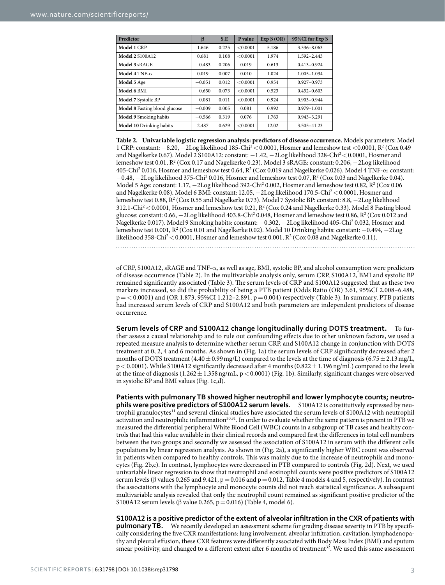<span id="page-2-0"></span>

| Predictor                     | $\beta$  | S.E   | P value  | $Exp \beta (OR)$ | 95%CI for Exp $\beta$ |
|-------------------------------|----------|-------|----------|------------------|-----------------------|
| Model 1 CRP                   | 1.646    | 0.225 | < 0.0001 | 5.186            | 3.336-8.063           |
| <b>Model 2 S100A12</b>        | 0.681    | 0.108 | < 0.0001 | 1.974            | 1.592-2.443           |
| Model 3 sRAGE                 | $-0.483$ | 0.206 | 0.019    | 0.613            | $0.413 - 0.924$       |
| Model 4 TNF- $\alpha$         | 0.019    | 0.007 | 0.010    | 1.024            | $1.005 - 1.034$       |
| Model 5 Age                   | $-0.051$ | 0.012 | < 0.0001 | 0.954            | $0.927 - 0.973$       |
| Model 6 BMI                   | $-0.650$ | 0.073 | < 0.0001 | 0.523            | $0.452 - 0.603$       |
| Model 7 Systolic BP           | $-0.081$ | 0.011 | < 0.0001 | 0.924            | $0.903 - 0.944$       |
| Model 8 Fasting blood glucose | $-0.009$ | 0.005 | 0.081    | 0.992            | $0.979 - 1.001$       |
| Model 9 Smoking habits        | $-0.566$ | 0.319 | 0.076    | 1.763            | $0.943 - 3.291$       |
| Model 10 Drinking habits      | 2.487    | 0.629 | < 0.0001 | 12.02            | 3.505-41.23           |

**Table 2. Univariable logistic regression analysis: predictors of disease occurrence.** Models parameters: Model 1 CRP: constant: −8.20, −2Log likelihood 185-Ch[i2](#page-7-1)<0.0001, Hosmer and lemeshow test <0.0001, R2 (Cox 0.49 and Nagelkerke 0.67). Model 2 S100A12: constant: −1.42, −2Log likelihood 328-Chi[2](#page-7-1)<0.0001, Hosmer and lemeshow test  $0.01$ ,  $\mathrm{R}^2$  (Cox  $0.17$  and Nagelkerke  $0.23$ ). Model 3 sRAGE: constant:  $0.206, -2 \mathrm{Log}$  likelihood  $405$ -Chi<sup>[2](#page-7-1)</sup> 0.016, Hosmer and lemeshow test 0.64,  $R^2$  (Cox 0.019 and Nagelkerke 0.026). Model 4 TNF- $\alpha$ : constant:  $-0.48, -2$  $-0.48, -2$ Log likelihood 375-Chi<sup>2</sup> 0.016, Hosmer and lemeshow test 0.07, R<sup>2</sup> (Cox 0.03 and Nagelkerke 0.04). Model 5 Age: constant:  $1.17, -2Log$  likelihood 392-Chi<sup>2</sup> 0.002, Hosmer and lemeshow test 0.82,  $R^2$  (Cox 0.06 and Nagelkerke 0.08). Model 6 BMI: constant: 12.05, −2Log likelihood 170.5-Chi[2](#page-7-1)<0.0001, Hosmer and lemeshow test 0.88, R<sup>2</sup> (Cox 0.55 and Nagelkerke 0.73). Model 7 Systolic BP: constant: 8.8, −2Log likelihood  $312.1$ -Chi<sup>2</sup> < 0.0001, Hosmer and lemeshow test 0.21,  $R^2$  (Cox 0.24 and Nagelkerke 0.33). Model 8 Fasting blood glucose: constant:  $0.66, -2Log$  likelihood  $403.8$ -Chi<sup>2</sup>  $0.048$ , Hosmer and lemeshow test  $0.86, R^2$  (Cox  $0.012$  and Nagelkerke 0.017). Model 9 Smoking habits: constant: −0.302, −2Log likelihood 405-Chi2 0.032, Hosmer and lemeshow test 0.001, R<sup>2</sup> (Cox 0.01 and Nagelkerke 0.02). Model 10 Drinking habits: constant: −0.494, −2Log likelihood 358-Chi $^2$   $<$  0.0001, Hosmer and lemeshow test 0.001, R $^2$  (Cox 0.08 and Nagelkerke 0.11).

of CRP, S100A12, sRAGE and TNF-α, as well as age, BMI, systolic BP, and alcohol consumption were predictors of disease occurrence [\(Table 2\)](#page-2-0). In the multivariable analysis only, serum CRP, S100A12, BMI and systolic BP remained significantly associated ([Table 3\)](#page-3-0). The serum levels of CRP and S100A12 suggested that as these two markers increased, so did the probability of being a PTB patient (Odds Ratio (OR) 3.61, 95%CI 2.008–6.488,  $p = < 0.0001$ ) and (OR 1.873, 95%CI 1.212–2.891,  $p = 0.004$ ) respectively [\(Table 3](#page-3-0)). In summary, PTB patients had increased serum levels of CRP and S100A12 and both parameters are independent predictors of disease occurrence.

**Serum levels of CRP and S100A12 change longitudinally during DOTS treatment.** To further assess a causal relationship and to rule out confounding effects due to other unknown factors, we used a repeated measure analysis to determine whether serum CRP, and S100A12 change in conjunction with DOTS treatment at 0, 2, 4 and 6 months. As shown in [\(Fig. 1a\)](#page-3-1) the serum levels of CRP significantly decreased after 2 months of DOTS treatment (4.40  $\pm$  0.99 mg/L) compared to the levels at the time of diagnosis (6.75  $\pm$  2.13 mg/L,  $p < 0.0001$ ). While S100A12 significantly decreased after 4 months (0.822  $\pm$  1.196 ng/mL) compared to the levels at the time of diagnosis  $(1.262 \pm 1.358 \text{ ng/mL}, p < 0.0001)$  ([Fig. 1b\)](#page-3-1). Similarly, significant changes were observed in systolic BP and BMI values ([Fig. 1c,d](#page-3-1)).

**Patients with pulmonary TB showed higher neutrophil and lower lymphocyte counts; neutro- phils were positive predictors of S100A12 serum levels.** S100A12 is constitutively expressed by neutrophil granulocytes<sup>11</sup> and several clinical studies have associated the serum levels of S100A12 with neutrophil activation and neutrophilic inflammation<sup>30,31</sup>. In order to evaluate whether the same pattern is present in PTB we measured the differential peripheral White Blood Cell (WBC) counts in a subgroup of TB cases and healthy controls that had this value available in their clinical records and compared first the differences in total cell numbers between the two groups and secondly we assessed the association of S100A12 in serum with the different cells populations by linear regression analysis. As shown in ([Fig. 2a\)](#page-4-0), a significantly higher WBC count was observed in patients when compared to healthy controls. This was mainly due to the increase of neutrophils and monocytes ([Fig. 2b,c\)](#page-4-0). In contrast, lymphocytes were decreased in PTB compared to controls ([Fig. 2d](#page-4-0)). Next, we used univariable linear regression to show that neutrophil and eosinophil counts were positive predictors of S100A12 serum levels ( $\beta$  values 0.265 and 9.421, p=0.016 and p=0.012, [Table 4](#page-5-0) models 4 and 5, respectively). In contrast the associations with the lymphocyte and monocyte counts did not reach statistical significance. A subsequent multivariable analysis revealed that only the neutrophil count remained as significant positive predictor of the S100A12 serum levels ( $\beta$  value 0.265, p = 0.016) [\(Table 4,](#page-5-0) model 6).

**S100A12 is a positive predictor of the extent of alveolar infiltration in the CXR of patients with pulmonary TB.** We recently developed an assessment scheme for grading disease severity in PTB by specifically considering the five CXR manifestations: lung involvement, alveolar infiltration, cavitation, lymphadenopathy and pleural effusion, these CXR features were differently associated with Body Mass Index (BMI) and sputum smear positivity, and changed to a different extent after 6 months of treatment $32$ . We used this same assessment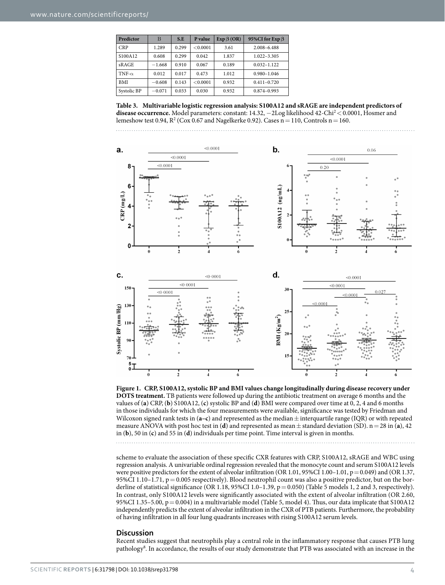<span id="page-3-0"></span>

| Predictor     | B        | S.E   | P value  | $Exp \beta (OR)$ | 95%CI for Exp ß |
|---------------|----------|-------|----------|------------------|-----------------|
| <b>CRP</b>    | 1.289    | 0.299 | < 0.0001 | 3.61             | 2.008-6.488     |
| S100A12       | 0.608    | 0.299 | 0.042    | 1.837            | $1.022 - 3.305$ |
| sRAGE         | $-1.668$ | 0.910 | 0.067    | 0.189            | $0.032 - 1.122$ |
| TNF- $\alpha$ | 0.012    | 0.017 | 0.473    | 1.012            | $0.980 - 1.046$ |
| BMI           | $-0.608$ | 0.143 | < 0.0001 | 0.932            | $0.411 - 0.720$ |
| Systolic BP   | $-0.071$ | 0.033 | 0.030    | 0.932            | $0.874 - 0.993$ |

**Table 3. Multivariable logistic regression analysis: S100A12 and sRAGE are independent predictors of**  disease occurrence. Model parameters: constant: 14.3[2](#page-7-1), −2Log likelihood 42-Chi<sup>2</sup> < 0.0001, Hosmer and lemeshow test 0.94,  $R^2$  (Cox 0.67 and Nagelkerke 0.92). Cases  $n = 110$ , Controls  $n = 160$ .





<span id="page-3-1"></span>

scheme to evaluate the association of these specific CXR features with CRP, S100A12, sRAGE and WBC using regression analysis. A univariable ordinal regression revealed that the monocyte count and serum S100A12 levels were positive predictors for the extent of alveolar infiltration (OR 1.01, 95%CI 1.00–1.01, p= 0.049) and (OR 1.37, 95%CI 1.10–1.71,  $p=0.005$  respectively). Blood neutrophil count was also a positive predictor, but on the borderline of statistical significance (OR 1.18, 95%CI 1.0–1.39,  $p = 0.050$ ) [\(Table 5](#page-5-1) models 1, 2 and 3, respectively). In contrast, only S100A12 levels were significantly associated with the extent of alveolar infiltration (OR 2.60, 95%CI 1.35–5.00, p=0.004) in a multivariable model [\(Table 5,](#page-5-1) model 4). Thus, our data implicate that S100A12 independently predicts the extent of alveolar infiltration in the CXR of PTB patients. Furthermore, the probability of having infiltration in all four lung quadrants increases with rising S100A12 serum levels.

#### **Discussion**

Recent studies suggest that neutrophils play a central role in the inflammatory response that causes PTB lung pathology<sup>[8](#page-7-7)</sup>. In accordance, the results of our study demonstrate that PTB was associated with an increase in the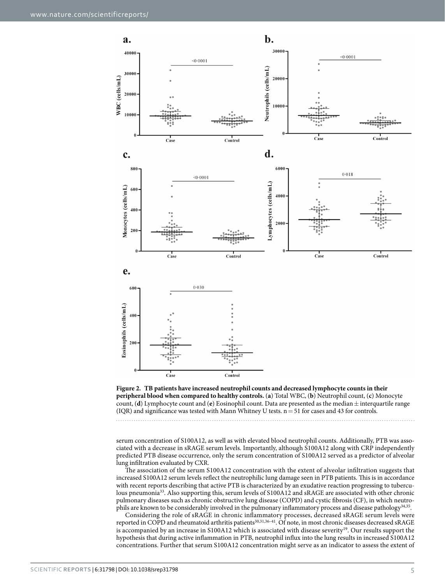

<span id="page-4-0"></span>**Figure 2. TB patients have increased neutrophil counts and decreased lymphocyte counts in their peripheral blood when compared to healthy controls.** (**a**) Total WBC, (**b**) Neutrophil count, (**c**) Monocyte count, (**d**) Lymphocyte count and (**e**) Eosinophil count. Data are presented as the median $\pm$  interquartile range (IQR) and significance was tested with Mann Whitney U tests.  $n = 51$  for cases and 43 for controls.

serum concentration of S100A12, as well as with elevated blood neutrophil counts. Additionally, PTB was associated with a decrease in sRAGE serum levels. Importantly, although S100A12 along with CRP independently predicted PTB disease occurrence, only the serum concentration of S100A12 served as a predictor of alveolar lung infiltration evaluated by CXR.

The association of the serum S100A12 concentration with the extent of alveolar infiltration suggests that increased S100A12 serum levels reflect the neutrophilic lung damage seen in PTB patients. This is in accordance with recent reports describing that active PTB is characterized by an exudative reaction progressing to tuberculous pneumonia<sup>33</sup>. Also supporting this, serum levels of S100A12 and sRAGE are associated with other chronic pulmonary diseases such as chronic obstructive lung disease (COPD) and cystic fibrosis (CF), in which neutro-phils are known to be considerably involved in the pulmonary inflammatory process and disease pathology<sup>[34](#page-8-5),[35](#page-8-6)</sup>.

Considering the role of sRAGE in chronic inflammatory processes, decreased sRAGE serum levels were reported in COPD and rheumatoid arthritis patients<sup>[30,](#page-8-1)[31](#page-8-2),36-41</sup>. Of note, in most chronic diseases decreased sRAGE is accompanied by an increase in S100A12 which is associated with disease severity<sup>19</sup>. Our results support the hypothesis that during active inflammation in PTB, neutrophil influx into the lung results in increased S100A12 concentrations. Further that serum S100A12 concentration might serve as an indicator to assess the extent of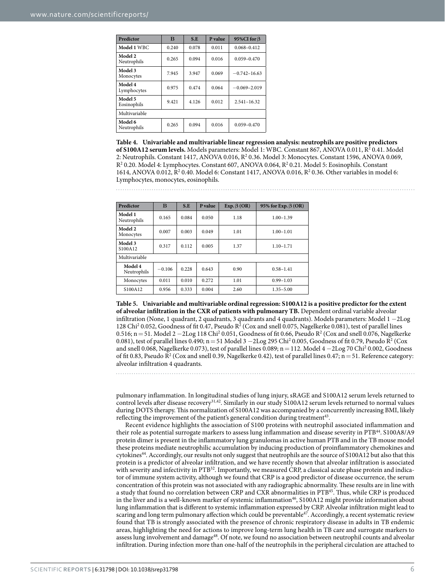<span id="page-5-0"></span>

| Predictor              | B     | S.E   | P value | 95%CI for $\beta$ |
|------------------------|-------|-------|---------|-------------------|
| Model 1 WBC            | 0.240 | 0.078 | 0.011   | $0.068 - 0.412$   |
| Model 2<br>Neutrophils | 0.265 | 0.094 | 0.016   | $0.059 - 0.470$   |
| Model 3<br>Monocytes   | 7.945 | 3.947 | 0.069   | $-0.742 - 16.63$  |
| Model 4<br>Lymphocytes | 0.975 | 0.474 | 0.064   | $-0.069 - 2.019$  |
| Model 5<br>Eosinophils | 9.421 | 4.126 | 0.012   | $2.541 - 16.32$   |
| Multivariable          |       |       |         |                   |
| Model 6<br>Neutrophils | 0.265 | 0.094 | 0.016   | $0.059 - 0.470$   |

**Table 4. Univariable and multivariable linear regression analysis: neutrophils are positive predictors**  of S100A12 serum levels. Models parameters: Model 1: WBC. Constant 867, ANOVA 0.011, R<sup>2</sup> 0.41. Model 2: Neutrophils. Constant 1417, ANOVA 0.016, R<sup>2</sup> 0.36. Model 3: Monocytes. Constant 1596, ANOVA 0.069,  $R^2$  0.20. Model 4: Lymphocytes. Constant 607, ANOVA 0.064,  $R^2$  0.21. Model 5: Eosinophils. Constant 1614, ANOVA 0.012,  $R^2$  0.40. Model 6: Constant 1417, ANOVA 0.016,  $R^2$  0.36. Other variables in model 6: Lymphocytes, monocytes, eosinophils.

<span id="page-5-1"></span>

| Predictor              | в        | S.E   | P value | $Exp. \beta (OR)$ | 95% for Exp. $\beta$ (OR) |
|------------------------|----------|-------|---------|-------------------|---------------------------|
| Model 1<br>Neutrophils | 0.165    | 0.084 | 0.050   | 1.18              | $1.00 - 1.39$             |
| Model 2<br>Monocytes   | 0.007    | 0.003 | 0.049   | 1.01              | $1.00 - 1.01$             |
| Model 3<br>S100A12     | 0.317    | 0.112 | 0.005   | 1.37              | $1.10 - 1.71$             |
| Multivariable          |          |       |         |                   |                           |
| Model 4<br>Neutrophils | $-0.106$ | 0.228 | 0.643   | 0.90              | $0.58 - 1.41$             |
| Monocytes              | 0.011    | 0.010 | 0.272   | 1.01              | $0.99 - 1.03$             |
| S100A12                | 0.956    | 0.333 | 0.004   | 2.60              | $1.35 - 5.00$             |

**Table 5. Univariable and multivariable ordinal regression: S100A12 is a positive predictor for the extent of alveolar infiltration in the CXR of patients with pulmonary TB.** Dependent ordinal variable alveolar infiltration (None, 1 quadrant, 2 quadrants, 3 quadrants and 4 quadrants). Models parameters: Model 1 −2Log 128 Chi<sup>2</sup> 0.052, Goodness of fit 0.47, Pseudo R<sup>2</sup> (Cox and snell 0.075, Nagelkerke 0.081), test of parallel lines 0.516; n = 51. Model 2  $-2$ Log 118 Chi<sup>2</sup> 0.051, Goodness of fit 0.66, Pseudo R<sup>2</sup> (Cox and snell 0.076, Nagelkerke 0.081), test of parallel lines 0.490;  $n = 51$  Model 3  $-2$ Log 295 Chi<sup>2</sup> 0.005, Goodness of fit 0.79, Pseudo R<sup>2</sup> (Cox and snell 0.068, Nagelkerke 0.073), test of parallel lines 0.089; n = 112. Model 4  $-2$ Log 70 Chi<sup>2</sup> 0.002, Goodness of fit 0.83, Pseudo R<sup>2</sup> (Cox and snell 0.39, Nagelkerke 0.42), test of parallel lines 0.47;  $n = 51$ . Reference category: alveolar infiltration 4 quadrants.

pulmonary inflammation. In longitudinal studies of lung injury, sRAGE and S100A12 serum levels returned to control levels after disease recovery<sup>[31](#page-8-2),[42](#page-8-8)</sup>. Similarly in our study S100A12 serum levels returned to normal values during DOTS therapy. This normalization of S100A12 was accompanied by a concurrently increasing BMI, likely reflecting the improvement of the patient's general condition during treatment<sup>43</sup>.

Recent evidence highlights the association of S100 proteins with neutrophil associated inflammation and their role as potential surrogate markers to assess lung inflammation and disease severity in PT[B44.](#page-8-10) S100A8/A9 protein dimer is present in the inflammatory lung granulomas in active human PTB and in the TB mouse model these proteins mediate neutrophilic accumulation by inducing production of proinflammatory chemokines and cytokines[44](#page-8-10). Accordingly, our results not only suggest that neutrophils are the source of S100A12 but also that this protein is a predictor of alveolar infiltration, and we have recently shown that alveolar infiltration is associated with severity and infectivity in PTB<sup>[32](#page-8-3)</sup>. Importantly, we measured CRP, a classical acute phase protein and indicator of immune system activity, although we found that CRP is a good predictor of disease occurrence, the serum concentration of this protein was not associated with any radiographic abnormality. These results are in line with a study that found no correlation between CRP and CXR abnormalities in PTB<sup>45</sup>. Thus, while CRP is produced in the liver and is a well-known marker of systemic inflammation<sup>46</sup>, S100A12 might provide information about lung inflammation that is different to systemic inflammation expressed by CRP. Alveolar infiltration might lead to scaring and long term pulmonary affection which could be preventable<sup>47</sup>. Accordingly, a recent systematic review found that TB is strongly associated with the presence of chronic respiratory disease in adults in TB endemic areas, highlighting the need for actions to improve long-term lung health in TB care and surrogate markers to assess lung involvement and damage<sup>[48](#page-8-14)</sup>. Of note, we found no association between neutrophil counts and alveolar infiltration. During infection more than one-half of the neutrophils in the peripheral circulation are attached to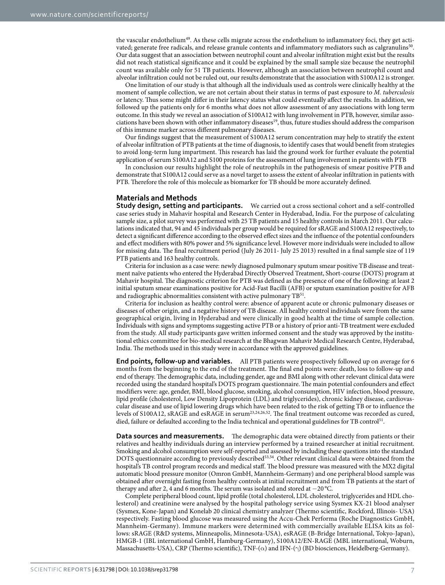the vascular endothelium[49](#page-8-15). As these cells migrate across the endothelium to inflammatory foci, they get activated; generate free radicals, and release granule contents and inflammatory mediators such as calgranulins<sup>50</sup>. Our data suggest that an association between neutrophil count and alveolar infiltration might exist but the results did not reach statistical significance and it could be explained by the small sample size because the neutrophil count was available only for 51 TB patients. However, although an association between neutrophil count and alveolar infiltration could not be ruled out, our results demonstrate that the association with S100A12 is stronger.

One limitation of our study is that although all the individuals used as controls were clinically healthy at the moment of sample collection, we are not certain about their status in terms of past exposure to *M. tuberculosis* or latency. Thus some might differ in their latency status what could eventually affect the results. In addition, we followed up the patients only for 6 months what does not allow assessment of any associations with long term outcome. In this study we reveal an association of S100A12 with lung involvement in PTB, however, similar asso-ciations have been shown with other inflammatory diseases<sup>[19](#page-7-12)</sup>, thus, future studies should address the comparison of this immune marker across different pulmonary diseases.

Our findings suggest that the measurement of S100A12 serum concentration may help to stratify the extent of alveolar infiltration of PTB patients at the time of diagnosis, to identify cases that would benefit from strategies to avoid long-term lung impartment. This research has laid the ground work for further evaluate the potential application of serum S100A12 and S100 proteins for the assessment of lung involvement in patients with PTB

In conclusion our results highlight the role of neutrophils in the pathogenesis of smear positive PTB and demonstrate that S100A12 could serve as a novel target to assess the extent of alveolar infiltration in patients with PTB. Therefore the role of this molecule as biomarker for TB should be more accurately defined.

#### **Materials and Methods**

**Study design, setting and participants.** We carried out a cross sectional cohort and a self-controlled case series study in Mahavir hospital and Research Center in Hyderabad, India. For the purpose of calculating sample size, a pilot survey was performed with 25 TB patients and 15 healthy controls in March 2011. Our calculations indicated that, 94 and 45 individuals per group would be required for sRAGE and S100A12 respectively, to detect a significant difference according to the observed effect sizes and the influence of the potential confounders and effect modifiers with 80% power and 5% significance level. However more individuals were included to allow for missing data. The final recruitment period (July 26 2011- July 25 2013) resulted in a final sample size of 119 PTB patients and 163 healthy controls.

Criteria for inclusion as a case were: newly diagnosed pulmonary sputum smear positive TB disease and treatment naïve patients who entered the Hyderabad Directly Observed Treatment, Short-course (DOTS) program at Mahavir hospital. The diagnostic criterion for PTB was defined as the presence of one of the following: at least 2 initial sputum smear examinations positive for Acid-Fast Bacilli (AFB) or sputum examination positive for AFB and radiographic abnormalities consistent with active pulmonary TB<sup>51</sup>.

Criteria for inclusion as healthy control were: absence of apparent acute or chronic pulmonary diseases or diseases of other origin, and a negative history of TB disease. All healthy control individuals were from the same geographical origin, living in Hyderabad and were clinically in good health at the time of sample collection. Individuals with signs and symptoms suggesting active PTB or a history of prior anti-TB treatment were excluded from the study. All study participants gave written informed consent and the study was approved by the institutional ethics committee for bio-medical research at the Bhagwan Mahavir Medical Research Centre, Hyderabad, India. The methods used in this study were in accordance with the approved guidelines.

**End points, follow-up and variables.** All PTB patients were prospectively followed up on average for 6 months from the beginning to the end of the treatment. The final end points were: death, loss to follow-up and end of therapy. The demographic data, including gender, age and BMI along with other relevant clinical data were recorded using the standard hospital's DOTS program questionnaire. The main potential confounders and effect modifiers were: age, gender, BMI, blood glucose, smoking, alcohol consumption, HIV infection, blood pressure, lipid profile (cholesterol, Low Density Lipoprotein (LDL) and triglycerides), chronic kidney disease, cardiovascular disease and use of lipid lowering drugs which have been related to the risk of getting TB or to influence the levels of S100A12, sRAGE and esRAGE in serum[23](#page-8-18),[24](#page-8-19),[26](#page-8-20),[52.](#page-8-21) The final treatment outcome was recorded as cured, died, failure or defaulted according to the India technical and operational guidelines for TB control<sup>51</sup>.

**Data sources and measurements.** The demographic data were obtained directly from patients or their relatives and healthy individuals during an interview performed by a trained researcher at initial recruitment. Smoking and alcohol consumption were self-reported and assessed by including these questions into the standard DOTS questionnaire according to previously described<sup>[53,](#page-8-22)54</sup>. Other relevant clinical data were obtained from the hospital's TB control program records and medical staff. The blood pressure was measured with the MX2 digital automatic blood pressure monitor (Omron GmbH, Mannheim-Germany) and one peripheral blood sample was obtained after overnight fasting from healthy controls at initial recruitment and from TB patients at the start of therapy and after 2, 4 and 6 months. The serum was isolated and stored at −20 °C.

Complete peripheral blood count, lipid profile (total cholesterol, LDL cholesterol, triglycerides and HDL cholesterol) and creatinine were analysed by the hospital pathology service using Sysmex KX-21 blood analyser (Sysmex, Kone-Japan) and Konelab 20 clinical chemistry analyzer (Thermo scientific, Rockford, Illinois- USA) respectively. Fasting blood glucose was measured using the Accu-Chek Performa (Roche Diagnostics GmbH, Mannheim-Germany). Immune markers were determined with commercially available ELISA kits as follows: sRAGE (R&D systems, Minneapolis, Minnesota-USA), esRAGE (B-Bridge International, Tokyo-Japan), HMGB-1 (IBL international GmbH, Hamburg-Germany), S100A12/EN-RAGE (MBL international, Woburn, Massachusetts-USA), CRP (Thermo scientific), TNF- $(\alpha)$  and IFN- $(\gamma)$  (BD biosciences, Heidelberg-Germany).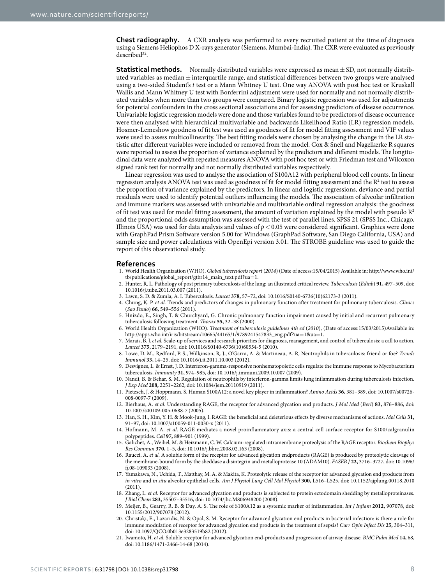**Chest radiography.** A CXR analysis was performed to every recruited patient at the time of diagnosis using a Siemens Heliophos D X-rays generator (Siemens, Mumbai-India). The CXR were evaluated as previously described<sup>32</sup>.

**Statistical methods.** Normally distributed variables were expressed as mean $\pm$  SD, not normally distributed variables as median $\pm$  interquartile range, and statistical differences between two groups were analysed using a two-sided Student's *t* test or a Mann Whitney U test. One way ANOVA with post hoc test or Kruskall Wallis and Mann Whitney U test with Bonferrini adjustment were used for normally and not normally distributed variables when more than two groups were compared. Binary logistic regression was used for adjustments for potential confounders in the cross sectional associations and for assessing predictors of disease occurrence. Univariable logistic regression models were done and those variables found to be predictors of disease occurrence were then analysed with hierarchical multivariable and backwards Likelihood Ratio (LR) regression models. Hosmer-Lemeshow goodness of fit test was used as goodness of fit for model fitting assessment and VIF values were used to assess multicollinearity. The best fitting models were chosen by analysing the change in the LR statistic after different variables were included or removed from the model. Cox & Snell and Nagelkerke R squares were reported to assess the proportion of variance explained by the predictors and different models. The longitudinal data were analyzed with repeated measures ANOVA with post hoc test or with Friedman test and Wilcoxon signed rank test for normally and not normally distributed variables respectively.

Linear regression was used to analyse the association of S100A12 with peripheral blood cell counts. In linear regression analysis ANOVA test was used as goodness of fit for model fitting assessment and the R<sup>2</sup> test to assess the proportion of variance explained by the predictors. In linear and logistic regressions, deviance and partial residuals were used to identify potential outliers influencing the models. The association of alveolar infiltration and immune markers was assessed with univariable and multivariable ordinal regression analysis: the goodness of fit test was used for model fitting assessment, the amount of variation explained by the model with pseudo  $R^2$ and the proportional odds assumption was assessed with the test of parallel lines. SPSS 21 (SPSS Inc., Chicago, Illinois USA) was used for data analysis and values of *p*< 0.05 were considered significant. Graphics were done with GraphPad Prism Software version 5.00 for Windows (GraphPad Software, San Diego California, USA) and sample size and power calculations with OpenEpi version 3.01. The STROBE guideline was used to guide the report of this observational study.

#### **References**

- <span id="page-7-0"></span>1. World Health Organization (WHO). *Global tuberculosis report* (*2014*) (Date of access:15/04/2015) Available in: [http://www.who.int/](http://www.who.int/tb/publications/global_report/gtbr14_main_text.pdf?ua=1.) [tb/publications/global\\_report/gtbr14\\_main\\_text.pdf?ua](http://www.who.int/tb/publications/global_report/gtbr14_main_text.pdf?ua=1.)=1.
- <span id="page-7-1"></span>2. Hunter, R. L. Pathology of post primary tuberculosis of the lung: an illustrated critical review. *Tuberculosis* (*Edinb*) **91,** 497–509, doi: 10.1016/j.tube.2011.03.007 (2011).
- <span id="page-7-2"></span>3. Lawn, S. D. & Zumla, A. I. Tuberculosis. *Lancet* **378,** 57–72, doi: 10.1016/S0140-6736(10)62173-3 (2011).
- <span id="page-7-3"></span>4. Chung, K. P. *et al.* Trends and predictors of changes in pulmonary function after treatment for pulmonary tuberculosis. *Clinics* (*Sao Paulo*) **66,** 549–556 (2011).
- <span id="page-7-4"></span>5. Hnizdo, E., Singh, T. & Churchyard, G. Chronic pulmonary function impairment caused by initial and recurrent pulmonary tuberculosis following treatment. *Thorax* **55,** 32–38 (2000).
- <span id="page-7-5"></span>6. World Health Organization (WHO). *Treatment of tuberculosis guidelines 4th ed* (*2010*), (Date of access:15/03/2015)Available in: [http://apps.who.int/iris/bitstream/10665/44165/1/9789241547833\\_eng.pdf?ua](http://apps.who.int/iris/bitstream/10665/44165/1/9789241547833_eng.pdf?ua=1&ua=1)=1&ua=1.
- <span id="page-7-6"></span>7. Marais, B. J. *et al.* Scale-up of services and research priorities for diagnosis, management, and control of tuberculosis: a call to action. *Lancet* **375,** 2179–2191, doi: 10.1016/S0140-6736(10)60554-5 (2010).
- <span id="page-7-7"></span>8. Lowe, D. M., Redford, P. S., Wilkinson, R. J., O'Garra, A. & Martineau, A. R. Neutrophils in tuberculosis: friend or foe? *Trends Immunol* **33,** 14–25, doi: 10.1016/j.it.2011.10.003 (2012).
- 9. Desvignes, L. & Ernst, J. D. Interferon-gamma-responsive nonhematopoietic cells regulate the immune response to Mycobacterium tuberculosis. *Immunity* **31,** 974–985, doi: 10.1016/j.immuni.2009.10.007 (2009).
- 10. Nandi, B. & Behar, S. M. Regulation of neutrophils by interferon-gamma limits lung inflammation during tuberculosis infection. *J Exp Med* **208,** 2251–2262, doi: 10.1084/jem.20110919 (2011).
- <span id="page-7-8"></span>11. Pietzsch, J. & Hoppmann, S. Human S100A12: a novel key player in inflammation? *Amino Acids* **36,** 381–389, doi: 10.1007/s00726- 008-0097-7 (2009).
- <span id="page-7-9"></span>12. Bierhaus, A. *et al.* Understanding RAGE, the receptor for advanced glycation end products. *J Mol Med* (*Berl*) **83,** 876–886, doi: 10.1007/s00109-005-0688-7 (2005).
- <span id="page-7-10"></span>13. Han, S. H., Kim, Y. H. & Mook-Jung, I. RAGE: the beneficial and deleterious effects by diverse mechanisms of actions. *Mol Cells* **31,** 91–97, doi: 10.1007/s10059-011-0030-x (2011).
- 14. Hofmann, M. A. *et al.* RAGE mediates a novel proinflammatory axis: a central cell surface receptor for S100/calgranulin polypeptides. *Cell* **97,** 889–901 (1999).
- <span id="page-7-11"></span>15. Galichet, A., Weibel, M. & Heizmann, C. W. Calcium-regulated intramembrane proteolysis of the RAGE receptor. *Biochem Biophys Res Commun* **370,** 1–5, doi: 10.1016/j.bbrc.2008.02.163 (2008).
- 16. Raucci, A. *et al.* A soluble form of the receptor for advanced glycation endproducts (RAGE) is produced by proteolytic cleavage of the membrane-bound form by the sheddase a disintegrin and metalloprotease 10 (ADAM10). *FASEB J* **22,** 3716–3727, doi: 10.1096/ fj.08-109033 (2008).
- 17. Yamakawa, N., Uchida, T., Matthay, M. A. & Makita, K. Proteolytic release of the receptor for advanced glycation end products from *in vitro* and *in situ* alveolar epithelial cells. *Am J Physiol Lung Cell Mol Physiol* **300,** L516–L525, doi: 10.1152/ajplung.00118.2010 (2011).
- 18. Zhang, L. *et al.* Receptor for advanced glycation end products is subjected to protein ectodomain shedding by metalloproteinases. *J Biol Chem* **283,** 35507–35516, doi: 10.1074/jbc.M806948200 (2008).
- <span id="page-7-12"></span>19. Meijer, B., Gearry, R. B. & Day, A. S. The role of S100A12 as a systemic marker of inflammation. *Int J Inflam* **2012,** 907078, doi: 10.1155/2012/907078 (2012).
- 20. Christaki, E., Lazaridis, N. & Opal, S. M. Receptor for advanced glycation end products in bacterial infection: is there a role for immune modulation of receptor for advanced glycation end products in the treatment of sepsis? *Curr Opin Infect Dis* **25,** 304–311, doi: 10.1097/QCO.0b013e3283519b82 (2012).
- 21. Iwamoto, H. *et al.* Soluble receptor for advanced glycation end-products and progression of airway disease. *BMC Pulm Med* **14,** 68, doi: 10.1186/1471-2466-14-68 (2014).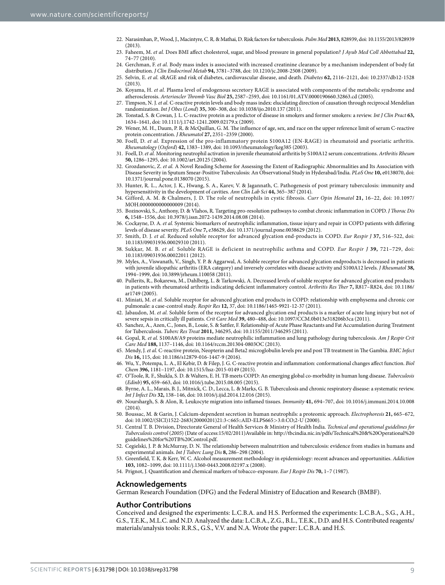- <span id="page-8-0"></span>22. Narasimhan, P., Wood, J., Macintyre, C. R. & Mathai, D. Risk factors for tuberculosis. *Pulm Med* **2013,** 828939, doi: 10.1155/2013/828939  $(2013)$
- <span id="page-8-18"></span>23. Faheem, M. *et al.* Does BMI affect cholesterol, sugar, and blood pressure in general population? *J Ayub Med Coll Abbottabad* **22,** 74–77 (2010).
- <span id="page-8-19"></span>24. Gerchman, F. *et al.* Body mass index is associated with increased creatinine clearance by a mechanism independent of body fat distribution. *J Clin Endocrinol Metab* **94,** 3781–3788, doi: 10.1210/jc.2008-2508 (2009).
- 25. Selvin, E. *et al.* sRAGE and risk of diabetes, cardiovascular disease, and death. *Diabetes* **62,** 2116–2121, doi: 10.2337/db12-1528 (2013).
- <span id="page-8-20"></span>26. Koyama, H. *et al.* Plasma level of endogenous secretory RAGE is associated with components of the metabolic syndrome and atherosclerosis. *Arterioscler Thromb Vasc Biol* **25,** 2587–2593, doi: 10.1161/01.ATV.0000190660.32863.cd (2005).
- 27. Timpson, N. J. *et al.* C-reactive protein levels and body mass index: elucidating direction of causation through reciprocal Mendelian randomization. *Int J Obes* (*Lond*) **35,** 300–308, doi: 10.1038/ijo.2010.137 (2011).
- 28. Tonstad, S. & Cowan, J. L. C-reactive protein as a predictor of disease in smokers and former smokers: a review. *Int J Clin Pract* **63,** 1634–1641, doi: 10.1111/j.1742-1241.2009.02179.x (2009).
- 29. Wener, M. H., Daum, P. R. & McQuillan, G. M. The influence of age, sex, and race on the upper reference limit of serum C-reactive protein concentration. *J Rheumatol* **27,** 2351–2359 (2000).
- <span id="page-8-1"></span>30. Foell, D. *et al.* Expression of the pro-inflammatory protein S100A12 (EN-RAGE) in rheumatoid and psoriatic arthritis. *Rheumatology* (*Oxford*) **42,** 1383–1389, doi: 10.1093/rheumatology/keg385 (2003).
- <span id="page-8-2"></span>31. Foell, D. *et al.* Monitoring neutrophil activation in juvenile rheumatoid arthritis by S100A12 serum concentrations. *Arthritis Rheum* **50,** 1286–1295, doi: 10.1002/art.20125 (2004).
- <span id="page-8-3"></span>32. Grozdanovic, Z. *et al.* A Novel Reading Scheme for Assessing the Extent of Radiographic Abnormalities and Its Association with Disease Severity in Sputum Smear-Positive Tuberculosis: An Observational Study in Hyderabad/India. *PLoS One* **10,** e0138070, doi: 10.1371/journal.pone.0138070 (2015).
- <span id="page-8-4"></span>33. Hunter, R. L., Actor, J. K., Hwang, S. A., Karev, V. & Jagannath, C. Pathogenesis of post primary tuberculosis: immunity and hypersensitivity in the development of cavities. *Ann Clin Lab Sci* **44,** 365–387 (2014).
- <span id="page-8-5"></span>34. Gifford, A. M. & Chalmers, J. D. The role of neutrophils in cystic fibrosis. *Curr Opin Hematol* **21,** 16–22, doi: 10.1097/ MOH.0000000000000009 (2014).
- <span id="page-8-6"></span>35. Bozinovski, S., Anthony, D. & Vlahos, R. Targeting pro-resolution pathways to combat chronic inflammation in COPD. *J Thorac Dis* **6,** 1548–1556, doi: 10.3978/j.issn.2072-1439.2014.08.08 (2014).
- <span id="page-8-7"></span>36. Cockayne, D. A. *et al.* Systemic biomarkers of neutrophilic inflammation, tissue injury and repair in COPD patients with differing levels of disease severity. *PLoS One* **7,** e38629, doi: 10.1371/journal.pone.0038629 (2012).
- 37. Smith, D. J. *et al.* Reduced soluble receptor for advanced glycation end-products in COPD. *Eur Respir J* **37,** 516–522, doi: 10.1183/09031936.00029310 (2011).
- 38. Sukkar, M. B. *et al.* Soluble RAGE is deficient in neutrophilic asthma and COPD. *Eur Respir J* **39,** 721–729, doi: 10.1183/09031936.00022011 (2012).
- 39. Myles, A., Viswanath, V., Singh, Y. P. & Aggarwal, A. Soluble receptor for advanced glycation endproducts is decreased in patients with juvenile idiopathic arthritis (ERA category) and inversely correlates with disease activity and S100A12 levels. *J Rheumatol* **38,** 1994–1999, doi: 10.3899/jrheum.110058 (2011).
- 40. Pullerits, R., Bokarewa, M., Dahlberg, L. & Tarkowski, A. Decreased levels of soluble receptor for advanced glycation end products in patients with rheumatoid arthritis indicating deficient inflammatory control. *Arthritis Res Ther* **7,** R817–R824, doi: 10.1186/ ar1749 (2005).
- 41. Miniati, M. *et al.* Soluble receptor for advanced glycation end products in COPD: relationship with emphysema and chronic cor pulmonale: a case-control study. *Respir Res* **12,** 37, doi: 10.1186/1465-9921-12-37 (2011).
- <span id="page-8-8"></span>42. Jabaudon, M. *et al.* Soluble form of the receptor for advanced glycation end products is a marker of acute lung injury but not of severe sepsis in critically ill patients. *Crit Care Med* **39,** 480–488, doi: 10.1097/CCM.0b013e318206b3ca (2011).
- <span id="page-8-9"></span>43. Sanchez, A., Azen, C., Jones, B., Louie, S. & Sattler, F. Relationship of Acute Phase Reactants and Fat Accumulation during Treatment for Tuberculosis. *Tuberc Res Treat* **2011,** 346295, doi: 10.1155/2011/346295 (2011).
- <span id="page-8-10"></span>44. Gopal, R. *et al.* S100A8/A9 proteins mediate neutrophilic inflammation and lung pathology during tuberculosis. *Am J Respir Crit Care Med* **188,** 1137–1146, doi: 10.1164/rccm.201304-0803OC (2013).
- <span id="page-8-11"></span>45. Mendy, J. *et al.* C-reactive protein, Neopterin and Beta2 microglobulin levels pre and post TB treatment in The Gambia. *BMC Infect Dis* **16,** 115, doi: 10.1186/s12879-016-1447-9 (2016).
- <span id="page-8-12"></span>46. Wu, Y., Potempa, L. A., El Kebir, D. & Filep, J. G. C-reactive protein and inflammation: conformational changes affect function. *Biol Chem* **396,** 1181–1197, doi: 10.1515/hsz-2015-0149 (2015).
- <span id="page-8-13"></span>47. O'Toole, R. F., Shukla, S. D. & Walters, E. H. TB meets COPD: An emerging global co-morbidity in human lung disease. *Tuberculosis* (*Edinb*) **95,** 659–663, doi: 10.1016/j.tube.2015.08.005 (2015).
- <span id="page-8-14"></span>48. Byrne, A. L., Marais, B. J., Mitnick, C. D., Lecca, L. & Marks, G. B. Tuberculosis and chronic respiratory disease: a systematic review. *Int J Infect Dis* **32,** 138–146, doi: 10.1016/j.ijid.2014.12.016 (2015).
- <span id="page-8-15"></span>49. Nourshargh, S. & Alon, R. Leukocyte migration into inflamed tissues. *Immunity* **41,** 694–707, doi: 10.1016/j.immuni.2014.10.008 (2014).
- <span id="page-8-16"></span>50. Boussac, M. & Garin, J. Calcium-dependent secretion in human neutrophils: a proteomic approach. *Electrophoresis* **21,** 665–672, doi: 10.1002/(SICI)1522-2683(20000201)21:3<665::AID-ELPS665>3.0.CO;2-U (2000).
- <span id="page-8-17"></span>51. Central T. B. Division, Directorate General of Health Services & Ministry of Health India. *Technical and operational guidelines for Tuberculosis control* (*2005*) (Date of access:15/02/2011)Available in: [http://tbcindia.nic.in/pdfs/Technical%20&%20Operational%20](http://tbcindia.nic.in/pdfs/Technical%20&%20Operational%20guidelines%20for%20TB%20Control.pdf) [guidelines%20for%20TB%20Control.pdf.](http://tbcindia.nic.in/pdfs/Technical%20&%20Operational%20guidelines%20for%20TB%20Control.pdf)
- <span id="page-8-21"></span>52. Cegielski, J. P. & McMurray, D. N. The relationship between malnutrition and tuberculosis: evidence from studies in humans and experimental animals. *Int J Tuberc Lung Dis* **8,** 286–298 (2004).
- <span id="page-8-22"></span>53. Greenfield, T. K. & Kerr, W. C. Alcohol measurement methodology in epidemiology: recent advances and opportunities. *Addiction* **103,** 1082–1099, doi: 10.1111/j.1360-0443.2008.02197.x (2008).
- <span id="page-8-23"></span>54. Prignot, J. Quantification and chemical markers of tobacco-exposure. *Eur J Respir Dis* **70,** 1–7 (1987).

#### **Acknowledgements**

German Research Foundation (DFG) and the Federal Ministry of Education and Research (BMBF).

#### **Author Contributions**

Conceived and designed the experiments: L.C.B.A. and H.S. Performed the experiments: L.C.B.A., S.G., A.H., G.S., T.E.K., M.L.C. and N.D. Analyzed the data: L.C.B.A., Z.G., B.L., T.E.K., D.D. and H.S. Contributed reagents/ materials/analysis tools: R.R.S., G.S., V.V. and N.A. Wrote the paper: L.C.B.A. and H.S.